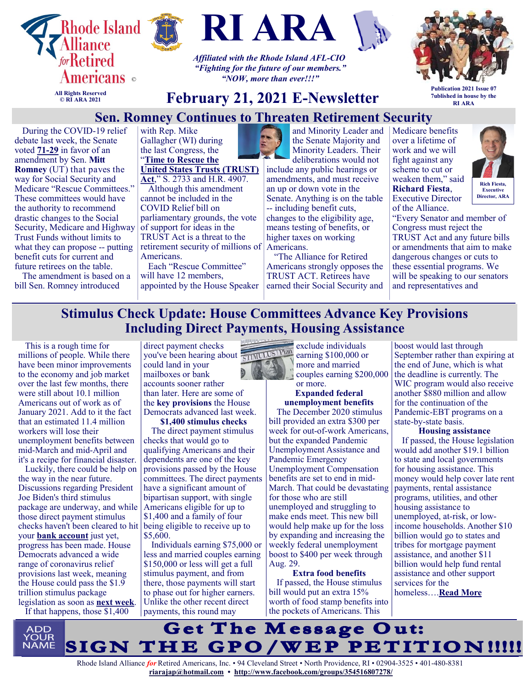





*Affiliated with the Rhode Island AFL-CIO "Fighting for the future of our members." "NOW, more than ever!!!"*



**All Rights Reserved © RI ARA 2021**

# **February 21, 2021 E-Newsletter**

**Publication 2021 Issue 07 7ublished in house by the RI ARA**

# **Sen. Romney Continues to Threaten Retirement Security**

During the COVID-19 relief debate last week, the Senate voted **71-[29](https://u1584542.ct.sendgrid.net/ss/c/atcYNHk4Eh2YdGnwBh-YDJ8RF9FUcPe4kg-mYvx_SDDqD-tusP1X1SJ02mdWSt4ZOVVV2OnvBxC-FmVfDAOci6Fo57wxY3R3p7LyPCNmXvrug4LnPf4cm7bbK3BUkx2XVkmcfFCGm_5J29SckR5zIStSG0CeIkxGNkHZ5hubxU5OoIKFUSN4SLaHYGmdUxbsSAL9S5XG02ydjNXY-1SJEMTH_s6NY)** in favor of an amendment by Sen. **Mitt Romney** (UT) that paves the way for Social Security and Medicare "Rescue Committees." These committees would have the authority to recommend drastic changes to the Social Security, Medicare and Highway Trust Funds without limits to what they can propose -- putting benefit cuts for current and future retirees on the table.

The amendment is based on a bill Sen. Romney introduced

with Rep. Mike Gallagher (WI) during the last Congress, the "**[Time to Rescue the](https://u1584542.ct.sendgrid.net/ss/c/ZsYp6Jc2ATNP3MkVzvte6IX7LXmCC1H1bxMzsGmXS2hCPq7CD9RL2eVbMH1ZVZwdWRM9zERP5MwdVKpyNmIXDkzb-d8tTxbwcjJdyt1Vg9OUpbQf1C8rdPj2VSpDiXmg5MOWjhmep-hytCrbU7qeKe_qdPWhiPOw-b2ybrtprHQQEn2unDUUi1ZZ235P9jBlzA3kloJ1Wv4mKcccSbX38mvWXvfuA)  [United States Trusts \(TRUST\)](https://u1584542.ct.sendgrid.net/ss/c/ZsYp6Jc2ATNP3MkVzvte6IX7LXmCC1H1bxMzsGmXS2hCPq7CD9RL2eVbMH1ZVZwdWRM9zERP5MwdVKpyNmIXDkzb-d8tTxbwcjJdyt1Vg9OUpbQf1C8rdPj2VSpDiXmg5MOWjhmep-hytCrbU7qeKe_qdPWhiPOw-b2ybrtprHQQEn2unDUUi1ZZ235P9jBlzA3kloJ1Wv4mKcccSbX38mvWXvfuA)** 

**[Act](https://u1584542.ct.sendgrid.net/ss/c/ZsYp6Jc2ATNP3MkVzvte6IX7LXmCC1H1bxMzsGmXS2hCPq7CD9RL2eVbMH1ZVZwdWRM9zERP5MwdVKpyNmIXDkzb-d8tTxbwcjJdyt1Vg9OUpbQf1C8rdPj2VSpDiXmg5MOWjhmep-hytCrbU7qeKe_qdPWhiPOw-b2ybrtprHQQEn2unDUUi1ZZ235P9jBlzA3kloJ1Wv4mKcccSbX38mvWXvfuA)**," S. 2733 and H.R. 4907.

Although this amendment cannot be included in the COVID Relief bill on parliamentary grounds, the vote of support for ideas in the TRUST Act is a threat to the retirement security of millions of Americans.

Each "Rescue Committee" will have 12 members, appointed by the House Speaker

and Minority Leader and the Senate Majority and Minority Leaders. Their deliberations would not include any public hearings or amendments, and must receive an up or down vote in the Senate. Anything is on the table -- including benefit cuts, changes to the eligibility age, means testing of benefits, or higher taxes on working Americans.

"The Alliance for Retired Americans strongly opposes the TRUST ACT. Retirees have earned their Social Security and Medicare benefits over a lifetime of work and we will fight against any scheme to cut or weaken them," said **Richard Fiesta**, Executive Director of the Alliance.



"Every Senator and member of Congress must reject the TRUST Act and any future bills or amendments that aim to make dangerous changes or cuts to these essential programs. We will be speaking to our senators and representatives and

## **Stimulus Check Update: House Committees Advance Key Provisions Including Direct Payments, Housing Assistance**

This is a rough time for millions of people. While there have been minor improvements to the economy and job market over the last few months, there were still about 10.1 million Americans out of work as of January 2021. Add to it the fact that an estimated 11.4 million workers will lose their unemployment benefits between mid-March and mid-April and it's a recipe for financial disaster.

Luckily, there could be help on the way in the near future. Discussions regarding President Joe Biden's third stimulus package are underway, and while those direct payment stimulus checks haven't been cleared to hit being eligible to receive up to your **[bank account](https://www.fool.com/the-ascent/banks/checking-accounts/?utm_source=msnrss&utm_medium=feed&utm_campaign=article&referring_guid=d58e9f62-ef22-4690-b48e-1d420014d4a0)** just yet, progress has been made. House Democrats advanced a wide range of coronavirus relief provisions last week, meaning the House could pass the \$1.9 trillion stimulus package legislation as soon as **[next week](https://www.fool.com/the-ascent/personal-finance/articles/stimulus-check-update-americans-may-get-their-money-in-march/?utm_source=msnrss&utm_medium=feed&utm_campaign=article&referring_guid=d58e9f62-ef22-4690-b48e-1d420014d4a0)**.

If that happens, those \$1,400

direct payment checks you've been hearing about STIMULUS Plan could land in your mailboxes or bank accounts sooner rather than later. Here are some of the **[key provisions](https://www.fool.com/the-ascent/personal-finance/articles/stimulus-check-news-house-democrats-announce-the-specifics-of-their-relief-plan/?utm_source=msnrss&utm_medium=feed&utm_campaign=article&referring_guid=d58e9f62-ef22-4690-b48e-1d420014d4a0)** the House Democrats advanced last week.

#### **\$1,400 stimulus checks**

The direct payment stimulus [checks](https://www.fool.com/the-ascent/personal-finance/stimulus-checks/?utm_source=msnrss&utm_medium=feed&utm_campaign=article&referring_guid=d58e9f62-ef22-4690-b48e-1d420014d4a0) that would go to qualifying Americans and their dependents are one of the key provisions passed by the House committees. The direct payments have a significant amount of bipartisan support, with single Americans eligible for up to \$1,400 and a family of four \$5,600.

Individuals earning \$75,000 or less and married couples earning \$150,000 or less will get a full stimulus payment, and from there, those payments will start to phase out for higher earners. Unlike the other recent direct payments, this round may



exclude individuals earning \$100,000 or more and married couples earning \$200,000 or more.

**Expanded federal unemployment benefits** The December 2020 stimulus bill provided an extra \$300 per week for out-of-work Americans, but the expanded Pandemic Unemployment Assistance and Pandemic Emergency Unemployment Compensation benefits are set to end in mid-March. That could be devastating for those who are still unemployed and struggling to make ends meet. This new bill would help make up for the loss by expanding and increasing the weekly federal unemployment boost to [\\$400 per week](https://www.fool.com/the-ascent/personal-finance/articles/106-million-americans-to-lose-unemployment-benefits-in-april-without-an-extension/?utm_source=msnrss&utm_medium=feed&utm_campaign=article&referring_guid=d58e9f62-ef22-4690-b48e-1d420014d4a0) through Aug. 29.

**Extra food benefits** If passed, the House stimulus bill would put an extra 15% worth of food stamp benefits into the pockets of Americans. This

boost would last through September rather than expiring at the end of June, which is what the deadline is currently. The WIC program would also receive another \$880 million and allow for the continuation of the Pandemic-EBT programs on a state-by-state basis.

**Housing assistance** If passed, the House legislation would add another \$19.1 billion to state and local governments for housing assistance. This money would help cover late rent payments, rental assistance programs, utilities, and other housing assistance to unemployed, at-risk, or lowincome households. Another \$10 billion would go to states and tribes for mortgage payment assistance, and another \$11 billion would help fund rental assistance and other support services for the homeless….**[Read More](https://www.msn.com/en-us/money/personalfinance/stimulus-check-update-house-committees-advance-key-provisions-including-direct-payments-housing-assistance/ar-BB1dJkxY?ocid=SK2DDHP&li=BBnb7Kz)**

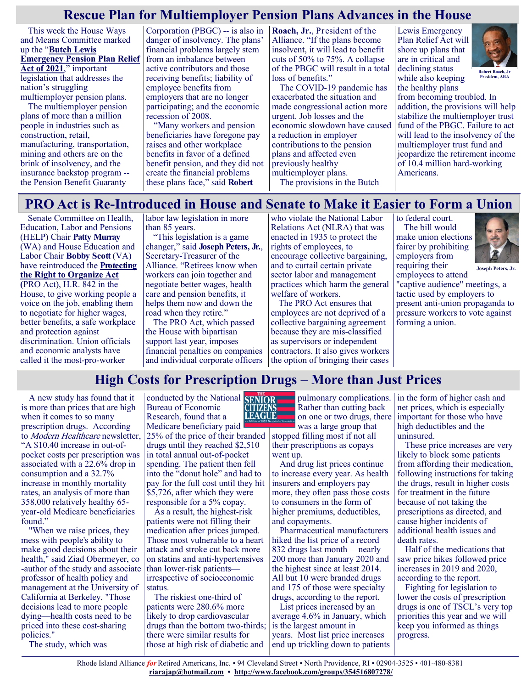## **Rescue Plan for Multiemployer Pension Plans Advances in the House**

This week the House Ways and Means Committee marked up the "**[Butch Lewis](https://u1584542.ct.sendgrid.net/ss/c/atcYNHk4Eh2YdGnwBh-YDKT7cjvTYwG9LqXZKkXUfpUFinu9y-O_qTMVW_8u5_ado13o0qNU96mCDu2DL9ktEMfEhrqQ0Sc3_735yqT2PWpmAUzGINLJvePNHy8HAv4Q3LbMG1nfVtBzCynKA9UEL1C7V-GTzMclnYxJRE4guP8u5Z3ROpPwHTyrh7tdTRjvQkDH2Vs3RVoc-bBj6R_hDctO9xbp0)  [Emergency Pension Plan Relief](https://u1584542.ct.sendgrid.net/ss/c/atcYNHk4Eh2YdGnwBh-YDKT7cjvTYwG9LqXZKkXUfpUFinu9y-O_qTMVW_8u5_ado13o0qNU96mCDu2DL9ktEMfEhrqQ0Sc3_735yqT2PWpmAUzGINLJvePNHy8HAv4Q3LbMG1nfVtBzCynKA9UEL1C7V-GTzMclnYxJRE4guP8u5Z3ROpPwHTyrh7tdTRjvQkDH2Vs3RVoc-bBj6R_hDctO9xbp0)  [Act of 2021](https://u1584542.ct.sendgrid.net/ss/c/atcYNHk4Eh2YdGnwBh-YDKT7cjvTYwG9LqXZKkXUfpUFinu9y-O_qTMVW_8u5_ado13o0qNU96mCDu2DL9ktEMfEhrqQ0Sc3_735yqT2PWpmAUzGINLJvePNHy8HAv4Q3LbMG1nfVtBzCynKA9UEL1C7V-GTzMclnYxJRE4guP8u5Z3ROpPwHTyrh7tdTRjvQkDH2Vs3RVoc-bBj6R_hDctO9xbp0)**," important legislation that addresses the nation's struggling multiemployer pension plans.

The multiemployer pension plans of more than a million people in industries such as construction, retail, manufacturing, transportation, mining and others are on the brink of insolvency, and the insurance backstop program - the Pension Benefit Guaranty

Corporation (PBGC) -- is also in danger of insolvency. The plans' financial problems largely stem from an imbalance between active contributors and those receiving benefits; liability of employee benefits from employers that are no longer participating; and the economic recession of 2008.

"Many workers and pension beneficiaries have foregone pay raises and other workplace benefits in favor of a defined benefit pension, and they did not create the financial problems these plans face," said **Robert** 

**Roach, Jr.**, President of the Alliance. "If the plans become insolvent, it will lead to benefit cuts of 50% to 75%. A collapse of the PBGC will result in a total loss of benefits."

The COVID-19 pandemic has exacerbated the situation and made congressional action more urgent. Job losses and the economic slowdown have caused a reduction in employer contributions to the pension plans and affected even previously healthy multiemployer plans.

Lewis Emergency Plan Relief Act will shore up plans that are in critical and declining status while also keeping



the healthy plans from becoming troubled. In addition, the provisions will help stabilize the multiemployer trust fund of the PBGC. Failure to act will lead to the insolvency of the multiemployer trust fund and jeopardize the retirement income of 10.4 million hard-working Americans.

The provisions in the Butch

## **PRO Act is Re-Introduced in House and Senate to Make it Easier to Form a Union**

Senate Committee on Health, Education, Labor and Pensions (HELP) Chair **Patty Murray** (WA) and House Education and Labor Chair **Bobby Scott** (VA) have reintroduced the **[Protecting](https://u1584542.ct.sendgrid.net/ss/c/atcYNHk4Eh2YdGnwBh-YDMtJS_Wr20PUTSsBsRtKT_G0gCxAeF2H9J86qyJdezg3YcR5OnbSfoKNCueT_r7F5aEtrI639vWuZrV9rIuTGo6zytEMHIVNyAt6JxTnlNgHPKUQkD84wvTwpFys5tFGrdt-CzL22_q3IhgaoeXo_VnHhtlMBG3vbCyUXmvmAFmt7HjSMaSvlmwj6DiNrhxiTYyTpgCyK)  [the Right to Organize Act](https://u1584542.ct.sendgrid.net/ss/c/atcYNHk4Eh2YdGnwBh-YDMtJS_Wr20PUTSsBsRtKT_G0gCxAeF2H9J86qyJdezg3YcR5OnbSfoKNCueT_r7F5aEtrI639vWuZrV9rIuTGo6zytEMHIVNyAt6JxTnlNgHPKUQkD84wvTwpFys5tFGrdt-CzL22_q3IhgaoeXo_VnHhtlMBG3vbCyUXmvmAFmt7HjSMaSvlmwj6DiNrhxiTYyTpgCyK) (**PRO Act), H.R. 842 in the House, to give working people a voice on the job, enabling them to negotiate for higher wages, better benefits, a safe workplace and protection against discrimination. Union officials and economic analysts have called it the most-pro-worker

labor law legislation in more than 85 years.

"This legislation is a game changer," said **Joseph Peters, Jr.**, Secretary-Treasurer of the Alliance. "Retirees know when workers can join together and negotiate better wages, health care and pension benefits, it helps them now and down the road when they retire."

The PRO Act, which passed the House with bipartisan support last year, imposes financial penalties on companies and individual corporate officers

who violate the National Labor Relations Act (NLRA) that was enacted in 1935 to protect the rights of employees, to encourage collective bargaining, and to curtail certain private sector labor and management practices which harm the general welfare of workers.

The PRO Act ensures that employees are not deprived of a collective bargaining agreement because they are mis-classified as supervisors or independent contractors. It also gives workers the option of bringing their cases

to federal court. The bill would make union elections fairer by prohibiting employers from requiring their employees to attend



**Joseph Peters, Jr.** 

"captive audience" meetings, a tactic used by employers to present anti-union propaganda to pressure workers to vote against forming a union.

## **High Costs for Prescription Drugs – More than Just Prices**

A new study has found that it is more than prices that are high when it comes to so many prescription drugs. According to Modern Healthcare newsletter, "A \$10.40 increase in out-ofpocket costs per prescription was associated with a 22.6% drop in consumption and a 32.7% increase in monthly mortality rates, an analysis of more than 358,000 relatively healthy 65 year-old Medicare beneficiaries found."

"When we raise prices, they mess with people's ability to make good decisions about their health," said Ziad Obermeyer, co -author of the study and associate professor of health policy and management at the University of California at Berkeley. "Those decisions lead to more people dying—health costs need to be priced into these cost-sharing policies."

The study, which was

conducted by the National **SENTOR** pulmonary complications. Bureau of Economic **LEAGUE** Research, found that a Medicare beneficiary paid 25% of the price of their branded drugs until they reached \$2,510 in total annual out-of-pocket spending. The patient then fell into the "donut hole" and had to pay for the full cost until they hit \$5,726, after which they were responsible for a 5% copay.

As a result, the highest-risk patients were not filling their medication after prices jumped. Those most vulnerable to a heart attack and stroke cut back more on statins and anti-hypertensives than lower-risk patients irrespective of socioeconomic status.

The riskiest one-third of patients were 280.6% more likely to drop cardiovascular drugs than the bottom two-thirds; there were similar results for those at high risk of diabetic and

Rather than cutting back on one or two drugs, there was a large group that

stopped filling most if not all their prescriptions as copays went up.

And drug list prices continue to increase every year. As health insurers and employers pay more, they often pass those costs to consumers in the form of higher premiums, deductibles, and copayments.

Pharmaceutical manufacturers hiked the list price of a record 832 drugs last month —nearly 200 more than January 2020 and the highest since at least 2014. All but 10 were branded drugs and 175 of those were specialty drugs, according to the report.

List prices increased by an average 4.6% in January, which is the largest amount in years. Most list price increases end up trickling down to patients in the form of higher cash and net prices, which is especially important for those who have high deductibles and the uninsured.

These price increases are very likely to block some patients from affording their medication, following instructions for taking the drugs, result in higher costs for treatment in the future because of not taking the prescriptions as directed, and cause higher incidents of additional health issues and death rates.

Half of the medications that saw price hikes followed price increases in 2019 and 2020, according to the report.

Fighting for legislation to lower the costs of prescription drugs is one of TSCL's very top priorities this year and we will keep you informed as things progress.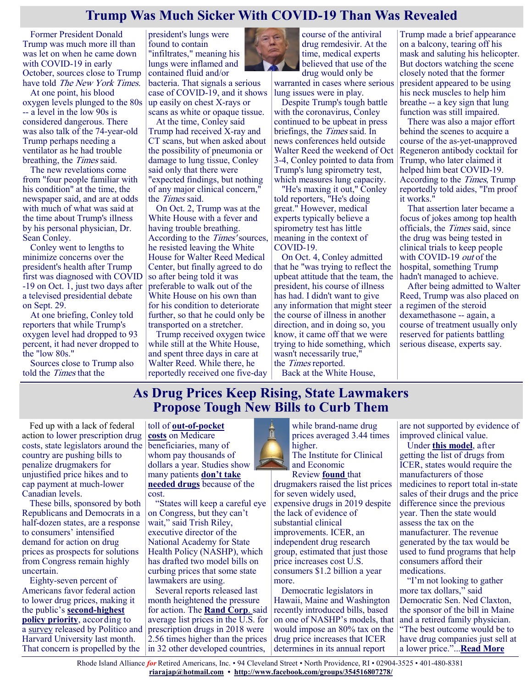#### **Trump Was Much Sicker With COVID-19 Than Was Revealed**

Former President Donald Trump was much more ill than was let on when he came down with COVID-19 in early October, sources close to Trump have told The New York Times.

At one point, his blood oxygen levels plunged to the 80s -- a level in the low 90s is considered dangerous. There was also talk of the 74-year-old Trump perhaps needing a ventilator as he had trouble breathing, the Times said.

The new revelations come from "four people familiar with his condition" at the time, the newspaper said, and are at odds with much of what was said at the time about Trump's illness by his personal physician, Dr. Sean Conley.

Conley went to lengths to minimize concerns over the president's health after Trump first was diagnosed with COVID -19 on Oct. 1, just two days after a televised presidential debate on Sept. 29.

At one briefing, Conley told reporters that while Trump's oxygen level had dropped to 93 percent, it had never dropped to the "low 80s."

Sources close to Trump also told the Times that the

president's lungs were found to contain "infiltrates," meaning his lungs were inflamed and contained fluid and/or

bacteria. That signals a serious case of COVID-19, and it shows up easily on chest X-rays or scans as white or opaque tissue.

At the time, Conley said Trump had received X-ray and CT scans, but when asked about the possibility of pneumonia or damage to lung tissue, Conley said only that there were "expected findings, but nothing of any major clinical concern,"

the *Times* said. On Oct. 2, Trump was at the White House with a fever and having trouble breathing. According to the *Times'* sources, he resisted leaving the White House for Walter Reed Medical Center, but finally agreed to do so after being told it was preferable to walk out of the White House on his own than for his condition to deteriorate further, so that he could only be transported on a stretcher.

Trump received oxygen twice while still at the White House, and spent three days in care at Walter Reed. While there, he reportedly received one five-day



drug remdesivir. At the time, medical experts believed that use of the drug would only be

warranted in cases where serious lung issues were in play.

Despite Trump's tough battle with the coronavirus, Conley continued to be upbeat in press briefings, the *Times* said. In news conferences held outside Walter Reed the weekend of Oct 3-4, Conley pointed to data from Trump's lung spirometry test, which measures lung capacity.

"He's maxing it out," Conley told reporters, "He's doing great." However, medical experts typically believe a spirometry test has little meaning in the context of COVID-19.

On Oct. 4, Conley admitted that he "was trying to reflect the upbeat attitude that the team, the president, his course of illness has had. I didn't want to give any information that might steer the course of illness in another direction, and in doing so, you know, it came off that we were trying to hide something, which wasn't necessarily true," the Times reported.

Back at the White House,

Trump made a brief appearance on a balcony, tearing off his mask and saluting his helicopter. But doctors watching the scene closely noted that the former president appeared to be using his neck muscles to help him breathe -- a key sign that lung function was still impaired.

There was also a major effort behind the scenes to acquire a course of the as-yet-unapproved Regeneron antibody cocktail for Trump, who later claimed it helped him beat COVID-19. According to the *Times*, Trump reportedly told aides, "I'm proof it works."

That assertion later became a focus of jokes among top health officials, the Times said, since the drug was being tested in clinical trials to keep people with COVID-19 *out* of the hospital, something Trump hadn't managed to achieve.

After being admitted to Walter Reed, Trump was also placed on a regimen of the steroid dexamethasone -- again, a course of treatment usually only reserved for patients battling serious disease, experts say.

## **As Drug Prices Keep Rising, State Lawmakers Propose Tough New Bills to Curb Them**

Fed up with a lack of federal action to lower prescription drug costs, state legislators around the country are pushing bills to penalize drugmakers for unjustified price hikes and to cap payment at much-lower Canadian levels.

These bills, sponsored by both Republicans and Democrats in a half-dozen states, are a response to consumers' intensified demand for action on drug prices as prospects for solutions from Congress remain highly uncertain.

Eighty-seven percent of Americans favor federal action to lower drug prices, making it the public's **second-[highest](https://cdn1.sph.harvard.edu/wp-content/uploads/sites/94/2021/01/Politico-HSPH-Jan-2021-PollReport.pdf)  [policy priority](https://cdn1.sph.harvard.edu/wp-content/uploads/sites/94/2021/01/Politico-HSPH-Jan-2021-PollReport.pdf)**, according to a [survey](https://www.politico.com/news/2021/01/08/politico-harvard-poll-public-biden-aid-456511) released by Politico and Harvard University last month. That concern is propelled by the

toll of **out-of-[pocket](https://khn.org/news/article/seniors-face-crushing-drug-costs-as-congress-stalls-on-capping-medicare-out-of-pockets/)  [costs](https://khn.org/news/article/seniors-face-crushing-drug-costs-as-congress-stalls-on-capping-medicare-out-of-pockets/)** on Medicare beneficiaries, many of whom pay thousands of dollars a year. Studies show many patients **[don't take](https://ascopubs.org/doi/full/10.1200/JCO.2017.74.5091)  [needed drugs](https://ascopubs.org/doi/full/10.1200/JCO.2017.74.5091)** because of the cost.

"States will keep a careful eye on Congress, but they can't wait," said Trish Riley, executive director of the National Academy for State Health Policy (NASHP), which has drafted two model bills on curbing prices that some state lawmakers are using.

Several reports released last month heightened the pressure for action. The **[Rand Corp](https://www.rand.org/news/press/2021/01/28.html)**. said average list prices in the U.S. for prescription drugs in 2018 were 2.56 times higher than the prices in 32 other developed countries,



while brand-name drug prices averaged 3.44 times higher. The Institute for Clinical

and Economic Review **[found](https://icer.org/assessment/unsupported-price-increase-2021/)** that

drugmakers raised the list prices for seven widely used, expensive drugs in 2019 despite the lack of evidence of substantial clinical improvements. ICER, an independent drug research group, estimated that just those price increases cost U.S. consumers \$1.2 billion a year more.

Democratic legislators in Hawaii, Maine and Washington recently introduced bills, based on one of NASHP's models, that would impose an 80% tax on the drug price increases that ICER determines in its annual report

are not supported by evidence of improved clinical value.

Under **[this model](https://www.nashp.org/nashps-new-model-law-penalizes-drug-manufacturers-for-unsupported-price-hikes/)**, after getting the list of  $\overline{d}r \overline{u}$  from ICER, states would require the manufacturers of those medicines to report total in-state sales of their drugs and the price difference since the previous year. Then the state would assess the tax on the manufacturer. The revenue generated by the tax would be used to fund programs that help consumers afford their medications.

"I'm not looking to gather more tax dollars," said Democratic Sen. Ned Claxton, the sponsor of the bill in Maine and a retired family physician. "The best outcome would be to have drug companies just sell at a lower price."...**[Read More](https://khn.org/news/article/as-drug-prices-keep-rising-state-lawmakers-propose-tough-new-bills-to-curb-them/)**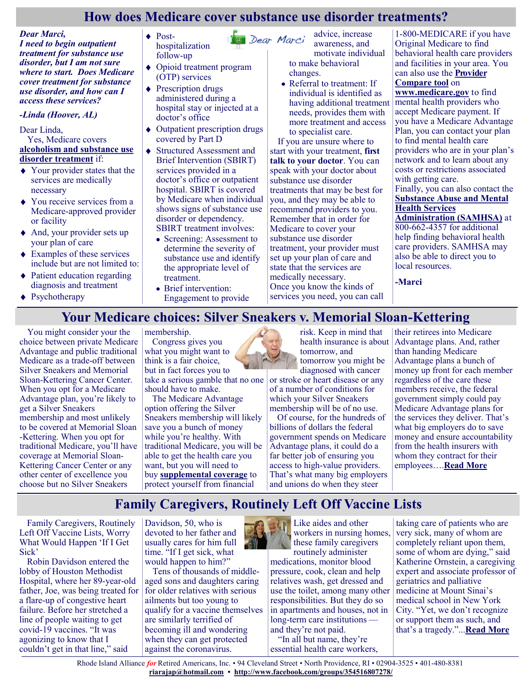## **How does Medicare cover substance use disorder treatments?**

*Dear Marci, I need to begin outpatient treatment for substance use disorder, but I am not sure where to start. Does Medicare cover treatment for substance use disorder, and how can I access these services?*

#### *-Linda (Hoover, AL)*

Dear Linda, Yes, Medicare covers **[alcoholism and substance use](https://medicarerights.us15.list-manage.com/track/click?u=1621f54a596f3717c22815356&id=7cfa04b0f3&e=88d22ba1fe)  [disorder treatment](https://medicarerights.us15.list-manage.com/track/click?u=1621f54a596f3717c22815356&id=7cfa04b0f3&e=88d22ba1fe)** if:

- Your provider states that the services are medically necessary
- You receive services from a Medicare-approved provider or facility
- ◆ And, your provider sets up your plan of care
- ◆ Examples of these services include but are not limited to:
- Patient education regarding diagnosis and treatment
- ◆ Psychotherapy
- ◆ Posthospitalization follow-up
- Opioid treatment program (OTP) services
- ◆ Prescription drugs administered during a hospital stay or injected at a doctor's office
- Outpatient prescription drugs covered by Part D
- ◆ Structured Assessment and Brief Intervention (SBIRT) services provided in a doctor's office or outpatient hospital. SBIRT is covered by Medicare when individual shows signs of substance use disorder or dependency. SBIRT treatment involves:
	- Screening: Assessment to determine the severity of substance use and identify the appropriate level of treatment.
	- Brief intervention: Engagement to provide

advice, increase 1<sup>0</sup> Dear Marci awareness, and motivate individual to make behavioral changes.

• Referral to treatment: If individual is identified as having additional treatment needs, provides them with more treatment and access to specialist care.

If you are unsure where to start with your treatment, **first talk to your doctor**. You can speak with your doctor about substance use disorder treatments that may be best for you, and they may be able to recommend providers to you. Remember that in order for Medicare to cover your substance use disorder treatment, your provider must set up your plan of care and state that the services are medically necessary. Once you know the kinds of services you need, you can call

1-800-MEDICARE if you have Original Medicare to find behavioral health care providers and facilities in your area. You can also use the **[Provider](https://medicarerights.us15.list-manage.com/track/click?u=1621f54a596f3717c22815356&id=e25222e30a&e=88d22ba1fe)  [Compare tool](https://medicarerights.us15.list-manage.com/track/click?u=1621f54a596f3717c22815356&id=e25222e30a&e=88d22ba1fe)** on

#### **[www.medicare.gov](https://medicarerights.us15.list-manage.com/track/click?u=1621f54a596f3717c22815356&id=9c162af3b8&e=88d22ba1fe)** to find mental health providers who accept Medicare payment. If you have a Medicare Advantage Plan, you can contact your plan to find mental health care providers who are in your plan's network and to learn about any costs or restrictions associated with getting care.

#### Finally, you can also contact the **[Substance Abuse and Mental](https://medicarerights.us15.list-manage.com/track/click?u=1621f54a596f3717c22815356&id=caf90babb5&e=88d22ba1fe)  [Health Services](https://medicarerights.us15.list-manage.com/track/click?u=1621f54a596f3717c22815356&id=caf90babb5&e=88d22ba1fe)**

**[Administration \(SAMHSA\)](https://medicarerights.us15.list-manage.com/track/click?u=1621f54a596f3717c22815356&id=caf90babb5&e=88d22ba1fe)** at 800-662-4357 for additional help finding behavioral health care providers. SAMHSA may also be able to direct you to local resources.

**-Marci**

## **Your Medicare choices: Silver Sneakers v. Memorial Sloan-Kettering**

You might consider your the choice between private Medicare Advantage and public traditional Medicare as a trade-off between Silver Sneakers and Memorial Sloan-Kettering Cancer Center. When you opt for a Medicare Advantage plan, you're likely to get a Silver Sneakers membership and most unlikely to be covered at Memorial Sloan -Kettering. When you opt for traditional Medicare, you'll have coverage at Memorial Sloan-Kettering Cancer Center or any other center of excellence you choose but no Silver Sneakers

membership. Congress gives you what you might want to think is a fair choice, but in fact forces you to take a serious gamble that no one should have to make.

The Medicare Advantage option offering the Silver Sneakers membership will likely save you a bunch of money while you're healthy. With traditional Medicare, you will be able to get the health care you want, but you will need to buy **[supplemental coverage](https://justcareusa.org/four-things-to-think-about-when-choosing-a-plan-to-fill-gaps-in-medicare-a-medigap-or-medicare-supplemental-insurance-plan/)** to protect yourself from financial



risk. Keep in mind that health insurance is about tomorrow, and tomorrow you might be

diagnosed with cancer or stroke or heart disease or any of a number of conditions for which your Silver Sneakers membership will be of no use.

Of course, for the hundreds of billions of dollars the federal government spends on Medicare Advantage plans, it could do a far better job of ensuring you access to high-value providers. That's what many big employers and unions do when they steer

their retirees into Medicare Advantage plans. And, rather than handing Medicare Advantage plans a bunch of money up front for each member regardless of the care these members receive, the federal government simply could pay Medicare Advantage plans for the services they deliver. That's what big employers do to save money and ensure accountability from the health insurers with whom they contract for their employees….**[Read More](https://justcareusa.org/your-medicare-choices-silver-sneakers-v-memorial-sloan-kettering/)**

# **Family Caregivers, Routinely Left Off Vaccine Lists**

Family Caregivers, Routinely Left Off Vaccine Lists, Worry What Would Happen 'If I Get Sick'

Robin Davidson entered the lobby of Houston Methodist Hospital, where her 89-year-old father, Joe, was being treated for a flare-up of congestive heart failure. Before her stretched a line of people waiting to get covid-19 vaccines. "It was agonizing to know that I couldn't get in that line," said

Davidson, 50, who is devoted to her father and usually cares for him full time. "If I get sick, what would happen to him?"

Tens of thousands of middleaged sons and daughters caring for older relatives with serious ailments but too young to qualify for a vaccine themselves are similarly terrified of becoming ill and wondering when they can get protected against the coronavirus.



Like aides and other workers in nursing homes, these family caregivers

routinely administer medications, monitor blood pressure, cook, clean and help relatives wash, get dressed and use the toilet, among many other responsibilities. But they do so in apartments and houses, not in long-term care institutions and they're not paid.

"In all but name, they're essential health care workers,

taking care of patients who are very sick, many of whom are completely reliant upon them, some of whom are dying," said Katherine Ornstein, a caregiving expert and associate professor of geriatrics and palliative medicine at Mount Sinai's medical school in New York City. "Yet, we don't recognize or support them as such, and that's a tragedy."...**[Read More](https://khn.org/news/article/family-caregivers-routinely-left-off-vaccine-lists-worry-what-would-happen-if-i-get-sick/)**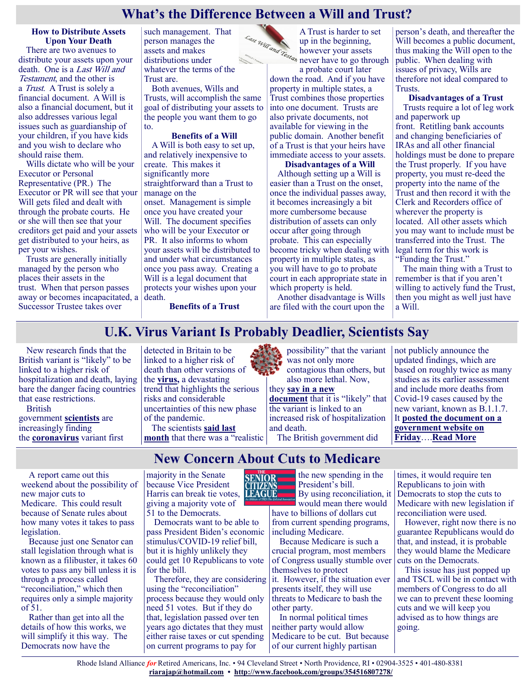## **What's the Difference Between a Will and Trust?**

#### **How to Distribute Assets Upon Your Death**

There are two avenues to distribute your assets upon your death. One is a Last Will and Testament, and the other is a Trust. A Trust is solely a financial document. A Will is also a financial document, but it also addresses various legal issues such as guardianship of your children, if you have kids and you wish to declare who should raise them.

Wills dictate who will be your Executor or Personal Representative (PR.) The Executor or PR will see that your Will gets filed and dealt with through the probate courts. He or she will then see that your creditors get paid and your assets get distributed to your heirs, as per your wishes.

Trusts are generally initially managed by the person who places their assets in the trust. When that person passes away or becomes incapacitated, a death. Successor Trustee takes over

such management. That person manages the assets and makes distributions under whatever the terms of the Trust are.

Both avenues, Wills and Trusts, will accomplish the same goal of distributing your assets to the people you want them to go to.

#### **Benefits of a Will**

A Will is both easy to set up, and relatively inexpensive to create. This makes it significantly more straightforward than a Trust to manage on the onset. Management is simple once you have created your Will. The document specifies who will be your Executor or PR. It also informs to whom your assets will be distributed to and under what circumstances once you pass away. Creating a Will is a legal document that protects your wishes upon your

**Benefits of a Trust**

A Trust is harder to set up in the beginning, however your assets never have to go through

a probate court later down the road. And if you have property in multiple states, a Trust combines those properties into one document. Trusts are also private documents, not available for viewing in the public domain. Another benefit of a Trust is that your heirs have immediate access to your assets.

**Disadvantages of a Will** Although setting up a Will is easier than a Trust on the onset, once the individual passes away, it becomes increasingly a bit more cumbersome because distribution of assets can only occur after going through probate. This can especially become tricky when dealing with property in multiple states, as you will have to go to probate court in each appropriate state in which property is held.

Another disadvantage is Wills are filed with the court upon the

person's death, and thereafter the Will becomes a public document, thus making the Will open to the public. When dealing with issues of privacy, Wills are therefore not ideal compared to Trusts.

**Disadvantages of a Trust** Trusts require a lot of leg work and paperwork up front. Retitling bank accounts and changing beneficiaries of IRAs and all other financial holdings must be done to prepare the Trust properly. If you have property, you must re-deed the property into the name of the Trust and then record it with the Clerk and Recorders office of wherever the property is located. All other assets which you may want to include must be transferred into the Trust. The legal term for this work is "Funding the Trust."

The main thing with a Trust to remember is that if you aren't willing to actively fund the Trust, then you might as well just have a Will.

# **U.K. Virus Variant Is Probably Deadlier, Scientists Say**

New research finds that the British variant is "likely" to be linked to a higher risk of hospitalization and death, laying bare the danger facing countries that ease restrictions. British

government **[scientists](https://www.nytimes.com/2021/02/15/health/scientists-viruses.html)** are increasingly finding the **[coronavirus](https://www.nytimes.com/2021/02/15/health/scientists-viruses.html)** variant first

detected in Britain to be linked to a higher risk of death than other versions of the **[virus,](https://www.nytimes.com/2021/02/15/health/scientists-viruses.html)** a devastating trend that highlights the serious risks and considerable uncertainties of this new phase of the pandemic. The scientists **[said last](https://www.nytimes.com/2021/01/22/world/europe/virus-variant-uk.html)** 

**[month](https://www.nytimes.com/2021/01/22/world/europe/virus-variant-uk.html)** that there was a "realistic



possibility" that the variant was not only more contagious than others, but also more lethal. Now,

#### they **[say in a new](https://assets.publishing.service.gov.uk/government/uploads/system/uploads/attachment_data/file/961042/S1095_NERVTAG_update_note_on_B.1.1.7_severity_20210211.pdf)**

**[document](https://assets.publishing.service.gov.uk/government/uploads/system/uploads/attachment_data/file/961042/S1095_NERVTAG_update_note_on_B.1.1.7_severity_20210211.pdf)** that it is "likely" that the variant is linked to an increased risk of hospitalization and death.

The British government did

not publicly announce the updated findings, which are based on roughly twice as many studies as its earlier assessment and include more deaths from Covid-19 cases caused by the new variant, known as B.1.1.7. It **[posted the document on a](https://www.gov.uk/government/publications/nervtag-update-note-on-b117-severity-11-february-2021?utm_medium=email&utm_campaign=govuk-notifications&utm_source=b6297c0b-901b-4db7-9b7e-9d22914d25c3&utm_content=immediately)  [government website on](https://www.gov.uk/government/publications/nervtag-update-note-on-b117-severity-11-february-2021?utm_medium=email&utm_campaign=govuk-notifications&utm_source=b6297c0b-901b-4db7-9b7e-9d22914d25c3&utm_content=immediately)  [Friday](https://www.gov.uk/government/publications/nervtag-update-note-on-b117-severity-11-february-2021?utm_medium=email&utm_campaign=govuk-notifications&utm_source=b6297c0b-901b-4db7-9b7e-9d22914d25c3&utm_content=immediately)**….**[Read More](https://www.nytimes.com/2021/02/13/world/europe/covid-uk-variant-deadlier.html)**

**New Concern About Cuts to Medicare** 

A report came out this weekend about the possibility of new major cuts to Medicare. This could result because of Senate rules about how many votes it takes to pass legislation.

Because just one Senator can stall legislation through what is known as a filibuster, it takes 60 votes to pass any bill unless it is through a process called "reconciliation," which then requires only a simple majority of 51.

Rather than get into all the details of how this works, we will simplify it this way. The Democrats now have the

majority in the Senate because Vice President because Vice President<br>Harris can break tie votes, LEAGUE giving a majority vote of 51 to the Democrats.

Democrats want to be able to pass President Biden's economic stimulus/COVID-19 relief bill, but it is highly unlikely they could get 10 Republicans to vote for the bill.

Therefore, they are considering using the "reconciliation" process because they would only need 51 votes. But if they do that, legislation passed over ten years ago dictates that they must either raise taxes or cut spending on current programs to pay for



 **the new spending in the** President's bill. By using reconciliation, it would mean there would

have to billions of dollars cut from current spending programs, including Medicare.

Because Medicare is such a crucial program, most members of Congress usually stumble over themselves to protect

it. However, if the situation ever presents itself, they will use threats to Medicare to bash the other party.

In normal political times neither party would allow Medicare to be cut. But because of our current highly partisan

times, it would require ten Republicans to join with Democrats to stop the cuts to Medicare with new legislation if reconciliation were used.

However, right now there is no guarantee Republicans would do that, and instead, it is probable they would blame the Medicare cuts on the Democrats.

This issue has just popped up and TSCL will be in contact with members of Congress to do all we can to prevent these looming cuts and we will keep you advised as to how things are going.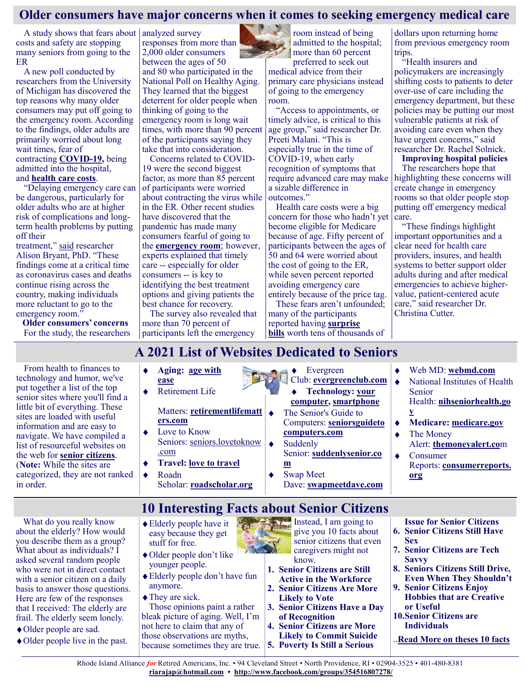#### **Older consumers have major concerns when it comes to seeking emergency medical care**

A study shows that fears about | analyzed survey costs and safety are stopping many seniors from going to the ER

A new poll conducted by researchers from the University of Michigan has discovered the top reasons why many older consumers may put off going to the emergency room. According to the findings, older adults are primarily worried about long wait times, fear of contracting **[COVID](https://www.consumeraffairs.com/illnesses-and-outbreaks)-19,** being admitted into the hospital, and **[health care costs](https://www.consumeraffairs.com/news/surprise-medical-bills-often-follow-er-visits-and-hospital-stays-study-finds-062019.html)**.

"Delaying emergency care can be dangerous, particularly for older adults who are at higher risk of complications and longterm health problems by putting off their

treatment," [said](https://labblog.uofmhealth.org/rounds/costs-covid-19-risk-and-delays-top-older-adults-concerns-about-seeking-emergency-care) researcher Alison Bryant, PhD. "These findings come at a critical time as coronavirus cases and deaths continue rising across the country, making individuals more reluctant to go to the emergency room."

**Older consumers' concerns** For the study, the researchers responses from more than 2,000 older consumers between the ages of 50 and 80 who participated in the National Poll on Healthy Aging. They learned that the biggest deterrent for older people when thinking of going to the emergency room is long wait times, with more than 90 percent of the participants saying they take that into consideration.

Concerns related to COVID-19 were the second biggest factor, as more than 85 percent of participants were worried about contracting the virus while in the ER. Other recent studies have discovered that the pandemic has made many consumers fearful of going to the **[emergency room](https://www.consumeraffairs.com/news/fewer-consumers-are-getting-evaluated-for-strokes-since-the-start-of-covid-19-051320.html)**; however, experts explained that timely care -- especially for older consumers -- is key to identifying the best treatment options and giving patients the best chance for recovery.

The survey also revealed that more than 70 percent of participants left the emergency

**The Second Street** room instead of being admitted to the hospital; more than 60 percent preferred to seek out medical advice from their primary care physicians instead of going to the emergency room.

"Access to appointments, or timely advice, is critical to this age group," said researcher Dr. Preeti Malani. "This is especially true in the time of COVID-19, when early recognition of symptoms that require advanced care may make a sizable difference in outcomes."

Health care costs were a big concern for those who hadn't yet become eligible for Medicare because of age. Fifty percent of participants between the ages of 50 and 64 were worried about the cost of going to the ER, while seven percent reported avoiding emergency care entirely because of the price tag.

These fears aren't unfounded; many of the participants reported having **[surprise](https://www.consumeraffairs.com/news/your-insurance-may-not-cover-that-emergency-room-visit-102218.html)  [bills](https://www.consumeraffairs.com/news/your-insurance-may-not-cover-that-emergency-room-visit-102218.html)** worth tens of thousands of

dollars upon returning home from previous emergency room trips.

"Health insurers and policymakers are increasingly shifting costs to patients to deter over-use of care including the emergency department, but these policies may be putting our most vulnerable patients at risk of avoiding care even when they have urgent concerns," said researcher Dr. Rachel Solnick.

**Improving hospital policies** The researchers hope that highlighting these concerns will create change in emergency rooms so that older people stop putting off emergency medical care.

"These findings highlight important opportunities and a clear need for health care providers, insures, and health systems to better support older adults during and after medical emergencies to achieve highervalue, patient-centered acute care," said researcher Dr. Christina Cutter.

From health to finances to technology and humor, we've put together a list of the top senior sites where you'll find a little bit of everything. These sites are loaded with useful information and are easy to navigate. We have compiled a list of resourceful websites on the web for **[senior citizens](https://www.seniorliving.org/life/senior-citizen/)**. (**Note:** While the sites are categorized, they are not ranked in order.

# **A 2021 List of Websites Dedicated to Seniors**

- $\blacklozenge$ **Aging: [age with](https://www.seniorliving.org/health/aging/)  [ease](https://www.seniorliving.org/health/aging/)**
- $\ddot{\bullet}$ Retirement Life

Matters: **[retirementlifematt](http://www.retirementlifematters.com/)** | **[ers.com](http://www.retirementlifematters.com/)**

- Love to Know Seniors: [seniors.lovetoknow](http://seniors.lovetoknow.com/) [.com](http://seniors.lovetoknow.com/)
- **Travel: [love to travel](https://www.seniorliving.org/travel/)**
- $\blacklozenge$ Roadn Scholar: **[roadscholar.org](http://www.roadscholar.org/)**
- Evergreen Club: **[evergreenclub.com](http://www.evergreenclub.com/) Technology: [your](https://www.seniorliving.org/internet/best/)  [computer,](https://www.seniorliving.org/internet/best/) [smartphone](https://www.seniorliving.org/cell-phone/best/)** The Senior's Guide to
- Computers: **[seniorsguideto](http://www.seniorsguidetocomputers.com/) [computers.com](http://www.seniorsguidetocomputers.com/)** Suddenly
- Senior: **[suddenlysenior.co](http://www.suddenlysenior.com/) [m](http://www.suddenlysenior.com/)**
- Swap Meet Dave: **[swapmeetdave.com](http://www.swapmeetdave.com/)**
- Web MD: **[webmd.com](http://www.webmd.com/)**
- $\ddot{\bullet}$ National Institutes of Health Senior Health: **[nihseniorhealth.go](http://nihseniorhealth.gov/) [v](http://nihseniorhealth.gov/)**
- $\bullet$ **Medicare: medicare.gov**
- The Money Alert: **[themoneyalert.co](http://www.themoneyalert.com/)**m ٠
	- Consumer Reports: **[consumerreports.](http://www.consumerreports.org/) [org](http://www.consumerreports.org/)**

What do you really know about the elderly? How would you describe them as a group? What about as individuals? I asked several random people who were not in direct contact with a senior citizen on a daily basis to answer those questions. Here are few of the responses that I received: The elderly are frail. The elderly seem lonely.

- Older people are sad.
- Older people live in the past.
- **10 Interesting Facts about Senior Citizens**
- Elderly people have it easy because they get stuff for free.
- Older people don't like younger people.
- Elderly people don't have fun anymore.
- ◆ They are sick.

Those opinions paint a rather bleak picture of aging. Well, I'm not here to claim that any of those observations are myths, because sometimes they are true. Instead, I am going to give you 10 facts about senior citizens that even caregivers might not know.

- **1. Senior Citizens are Still Active in the Workforce**
- **2. Senior Citizens Are More Likely to Vote**
- **3. Senior Citizens Have a Day of Recognition 4. Senior Citizens are More**
- **Likely to Commit Suicide 5. Poverty Is Still a Serious**

**Issue for Senior Citizens**

- **6. Senior Citizens Still Have Sex**
- **7. Senior Citizens are Tech Savvy**
- **8. Seniors Citizens Still Drive, Even When They Shouldn't**
- **9. Senior Citizens Enjoy Hobbies that are Creative or Useful**
- **10.Senior Citizens are Individuals**
- ..**[Read More on theses 10 facts](https://hartheritageassistedliving.com/10-interesting-facts-senior-citizens/)**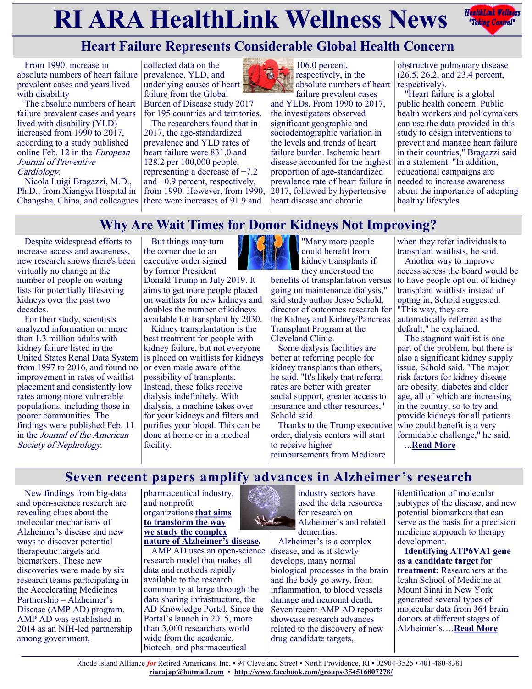# **RIARA HealthLink Wellness News** *<b>Rediction* Figures *Redictionly secured "Taking Control"*



# **Heart Failure Represents Considerable Global Health Concern**

From 1990, increase in absolute numbers of heart failure prevalent cases and years lived with disability

The absolute numbers of heart failure prevalent cases and years lived with disability (YLD) increased from 1990 to 2017, according to a study published online Feb. 12 in the European Journal of Preventive Cardiology.

Nicola Luigi Bragazzi, M.D., Ph.D., from Xiangya Hospital in Changsha, China, and colleagues

collected data on the prevalence, YLD, and underlying causes of heart failure from the Global Burden of Disease study 2017

for 195 countries and territories. The researchers found that in 2017, the age-standardized

prevalence and YLD rates of heart failure were 831.0 and 128.2 per 100,000 people, representing a decrease of −7.2 and −0.9 percent, respectively, from 1990. However, from 1990, there were increases of 91.9 and



106.0 percent,  $\mathbb{R}$   $\mathbb{R}$  respectively, in the absolute numbers of heart failure prevalent cases

and YLDs. From 1990 to 2017, the investigators observed significant geographic and sociodemographic variation in the levels and trends of heart failure burden. Ischemic heart disease accounted for the highest proportion of age-standardized prevalence rate of heart failure in 2017, followed by hypertensive heart disease and chronic

obstructive pulmonary disease (26.5, 26.2, and 23.4 percent, respectively).

"Heart failure is a global public health concern. Public health workers and policymakers can use the data provided in this study to design interventions to prevent and manage heart failure in their countries," Bragazzi said in a statement. "In addition, educational campaigns are needed to increase awareness about the importance of adopting healthy lifestyles.

# **Why Are Wait Times for Donor Kidneys Not Improving?**

Despite widespread efforts to increase access and awareness, new research shows there's been virtually no change in the number of people on waiting lists for potentially lifesaving kidneys over the past two decades.

For their study, scientists analyzed information on more than 1.3 million adults with kidney failure listed in the United States Renal Data System from 1997 to 2016, and found no improvement in rates of waitlist placement and consistently low rates among more vulnerable populations, including those in poorer communities. The findings were published Feb. 11 in the Journal of the American Society of Nephrology.

But things may turn the corner due to an executive order signed by former President

Donald Trump in July 2019. It aims to get more people placed on waitlists for new kidneys and doubles the number of kidneys available for transplant by 2030.

Kidney transplantation is the best treatment for people with kidney failure, but not everyone is placed on waitlists for kidneys or even made aware of the possibility of transplants. Instead, these folks receive dialysis indefinitely. With dialysis, a machine takes over for your kidneys and filters and purifies your blood. This can be done at home or in a medical facility.



"Many more people could benefit from kidney transplants if they understood the

benefits of transplantation versus going on maintenance dialysis," said study author Jesse Schold, director of outcomes research for the Kidney and Kidney/Pancreas Transplant Program at the Cleveland Clinic.

Some dialysis facilities are better at referring people for kidney transplants than others, he said. "It's likely that referral rates are better with greater social support, greater access to insurance and other resources," Schold said.

Thanks to the Trump executive order, dialysis centers will start to receive higher reimbursements from Medicare

when they refer individuals to transplant waitlists, he said.

Another way to improve access across the board would be to have people opt out of kidney transplant waitlists instead of opting in, Schold suggested. "This way, they are automatically referred as the default," he explained.

The stagnant waitlist is one part of the problem, but there is also a significant kidney supply issue, Schold said. "The major risk factors for kidney disease are obesity, diabetes and older age, all of which are increasing in the country, so to try and provide kidneys for all patients who could benefit is a very formidable challenge," he said. ...**[Read More](https://consumer.healthday.com/2-11-why-are-waits-for-donor-kidneys-not-improving-2650330934.html)**

**Seven recent papers amplify advances in Alzheimer's research**

New findings from big-data and open-science research are revealing clues about the molecular mechanisms of Alzheimer's disease and new ways to discover potential therapeutic targets and biomarkers. These new discoveries were made by six research teams participating in the Accelerating Medicines Partnership – Alzheimer's Disease (AMP AD) program. AMP AD was established in 2014 as an NIH-led partnership among government,

pharmaceutical industry, and nonprofit organizations **[that aims](https://www.nia.nih.gov/research/amp-ad)  [to transform the way](https://www.nia.nih.gov/research/amp-ad)  [we study the complex](https://www.nia.nih.gov/research/amp-ad)  [nature of Alzheimer's disease.](https://www.nia.nih.gov/research/amp-ad)**

AMP AD uses an open-science research model that makes all data and methods rapidly available to the research community at large through the data sharing infrastructure, the AD Knowledge Portal. Since the Portal's launch in 2015, more than 3,000 researchers world wide from the academic, biotech, and pharmaceutical



industry sectors have used the data resources for research on Alzheimer's and related dementias.

Alzheimer's is a complex disease, and as it slowly develops, many normal biological processes in the brain and the body go awry, from inflammation, to blood vessels damage and neuronal death. Seven recent AMP AD reports showcase research advances related to the discovery of new drug candidate targets,

identification of molecular subtypes of the disease, and new potential biomarkers that can serve as the basis for a precision medicine approach to therapy development.

**Identifying ATP6VA1 gene as a candidate target for treatment:** Researchers at the Icahn School of Medicine at Mount Sinai in New York generated several types of molecular data from 364 brain donors at different stages of Alzheimer's….**[Read More](https://www.nia.nih.gov/news/seven-recent-papers-amplify-advances-alzheimers-research)**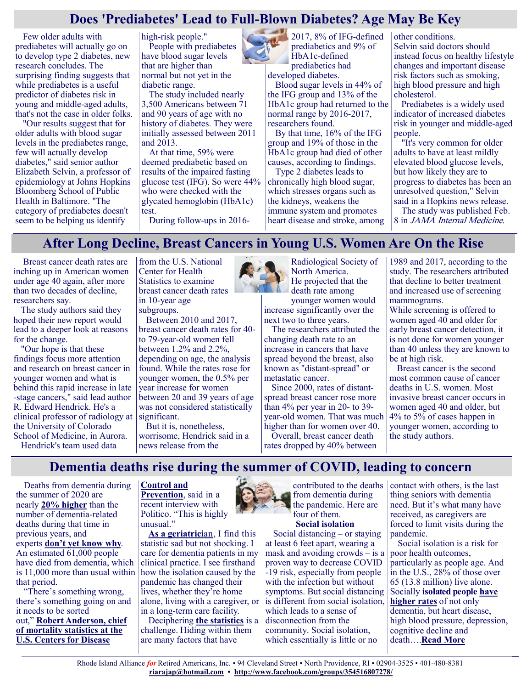## **Does 'Prediabetes' Lead to Full-Blown Diabetes? Age May Be Key**

Few older adults with prediabetes will actually go on to develop type 2 diabetes, new research concludes. The surprising finding suggests that while prediabetes is a useful predictor of diabetes risk in young and middle-aged adults, that's not the case in older folks.

"Our results suggest that for older adults with blood sugar levels in the prediabetes range, few will actually develop diabetes," said senior author Elizabeth Selvin, a professor of epidemiology at Johns Hopkins Bloomberg School of Public Health in Baltimore. "The category of prediabetes doesn't seem to be helping us identify

high-risk people." People with prediabetes have blood sugar levels that are higher than normal but not yet in the diabetic range.

The study included nearly 3,500 Americans between 71 and 90 years of age with no history of diabetes. They were initially assessed between 2011 and 2013.

At that time, 59% were deemed prediabetic based on results of the impaired fasting glucose test (IFG). So were 44% who were checked with the glycated hemoglobin (HbA1c) test.

During follow-ups in 2016-



2017, 8% of IFG-defined prediabetics and 9% of HbA1c-defined prediabetics had developed diabetes.

Blood sugar levels in 44% of the IFG group and 13% of the HbA1c group had returned to the normal range by 2016-2017, researchers found.

By that time, 16% of the IFG group and 19% of those in the HbA1c group had died of other causes, according to findings.

Type 2 diabetes leads to chronically high blood sugar, which stresses organs such as the kidneys, weakens the immune system and promotes heart disease and stroke, among other conditions. Selvin said doctors should instead focus on healthy lifestyle changes and important disease risk factors such as smoking, high blood pressure and high cholesterol.

Prediabetes is a widely used indicator of increased diabetes risk in younger and middle-aged people.

"It's very common for older adults to have at least mildly elevated blood glucose levels, but how likely they are to progress to diabetes has been an unresolved question," Selvin said in a Hopkins news release.

The study was published Feb. 8 in JAMA Internal Medicine.

#### **After Long Decline, Breast Cancers in Young U.S. Women Are On the Rise**

Breast cancer death rates are inching up in American women under age 40 again, after more than two decades of decline, researchers say.

The study authors said they hoped their new report would lead to a deeper look at reasons for the change.

"Our hope is that these findings focus more attention and research on breast cancer in younger women and what is behind this rapid increase in late -stage cancers," said lead author R. Edward Hendrick. He's a clinical professor of radiology at the University of Colorado School of Medicine, in Aurora. Hendrick's team used data

Deaths from dementia during

the summer of 2020 are nearly **[20% higher](https://www.politico.com/news/2020/09/16/dementia-deaths-coronavirus-nursing-homes-416530)** than the number of dementia-related deaths during that time in previous years, and

that period.

it needs to be sorted

experts **[don't yet know why](https://www.usagainstalzheimers.org/blog/covid-19-impacts-increasing-people-living-alzheimers-nursing-homes-and-their-families)**. An estimated 61,000 people have died from dementia, which is 11,000 more than usual within

"There's something wrong, there's something going on and

out," **[Robert Anderson, chief](https://www.politico.com/news/2020/09/16/dementia-deaths-coronavirus-nursing-homes-416530)  [of mortality statistics at the](https://www.politico.com/news/2020/09/16/dementia-deaths-coronavirus-nursing-homes-416530)  [U.S. Centers for Disease](https://www.politico.com/news/2020/09/16/dementia-deaths-coronavirus-nursing-homes-416530)** 

from the U.S. National Center for Health Statistics to examine breast cancer death rates in 10-year age

subgroups. Between 2010 and 2017, breast cancer death rates for 40 to 79-year-old women fell between 1.2% and 2.2%, depending on age, the analysis found. While the rates rose for younger women, the 0.5% per year increase for women between 20 and 39 years of age was not considered statistically significant.

But it is, nonetheless, worrisome, Hendrick said in a news release from the



Radiological Society of North America. He projected that the death rate among

younger women would increase significantly over the next two to three years.

The researchers attributed the changing death rate to an increase in cancers that have spread beyond the breast, also known as "distant-spread" or metastatic cancer.

Since 2000, rates of distantspread breast cancer rose more than 4% per year in 20- to 39 year-old women. That was much higher than for women over 40.

Overall, breast cancer death rates dropped by 40% between 1989 and 2017, according to the study. The researchers attributed that decline to better treatment and increased use of screening mammograms.

While screening is offered to women aged 40 and older for early breast cancer detection, it is not done for women younger than 40 unless they are known to be at high risk.

Breast cancer is the second most common cause of cancer deaths in U.S. women. Most invasive breast cancer occurs in women aged 40 and older, but 4% to 5% of cases happen in younger women, according to the study authors.

#### **Dementia deaths rise during the summer of COVID, leading to concern**

#### **[Control and](https://www.politico.com/news/2020/09/16/dementia-deaths-coronavirus-nursing-homes-416530)**

**[Prevention](https://www.politico.com/news/2020/09/16/dementia-deaths-coronavirus-nursing-homes-416530)**, said in a recent interview with Politico. "This is highly unusual<sup>?</sup>

[As a geriatrici](https://uvahealth.com/findadoctor/profile/laurie-r-archbald-pannone)an, I find this statistic sad but not shocking. I care for dementia patients in my clinical practice. I see firsthand how the isolation caused by the pandemic has changed their lives, whether they're home alone, living with a caregiver, or in a long-term care facility.

Deciphering **[the statistics](https://jamanetwork.com/journals/jamaneurology/fullarticle/2769863)** is a challenge. Hiding within them are many factors that have



contributed to the deaths from dementia during the pandemic. Here are four of them. **Social isolation**

Social distancing – or staying at least 6 feet apart, wearing a mask and avoiding crowds – is a proven way to decrease COVID -19 risk, especially from people with the infection but without symptoms. But social distancing is different from social isolation, which leads to a sense of disconnection from the community. Social isolation, which essentially is little or no

contact with others, is the last thing seniors with dementia need. But it's what many have received, as caregivers are forced to limit visits during the pandemic.

Social isolation is a risk for poor health outcomes, particularly as people age. And in the U.S., 28% of those over 65 (13.8 million) live alone. Socially **isolated people [have](https://www.nia.nih.gov/news/social-isolation-loneliness-older-people-pose-health-risks)  [higher rates](https://www.nia.nih.gov/news/social-isolation-loneliness-older-people-pose-health-risks)** of not only dementia, but heart disease, high blood pressure, depression, cognitive decline and death….**[Read More](https://theconversation.com/dementia-deaths-rise-during-the-summer-of-covid-leading-to-concern-146509)**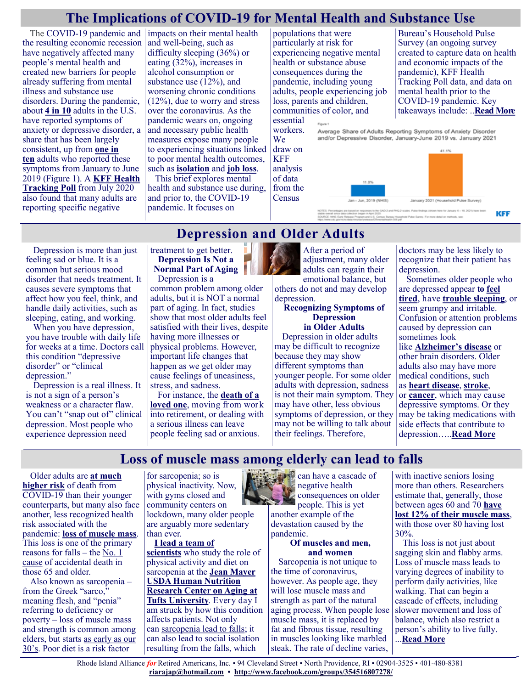# **The Implications of COVID-19 for Mental Health and Substance Use**

The COVID-19 pandemic and the resulting economic recession have negatively affected many people's mental health and created new barriers for people already suffering from mental illness and substance use disorders. During the pandemic, about **[4 in 10](https://www.kff.org/other/state-indicator/adults-reporting-symptoms-of-anxiety-or-depressive-disorder-during-covid-19-pandemic/)** adults in the U.S. have reported symptoms of anxiety or depressive disorder, a share that has been largely consistent, up from **[one in](https://www.cdc.gov/nchs/data/nhis/earlyrelease/ERmentalhealth-508.pdf)  [ten](https://www.cdc.gov/nchs/data/nhis/earlyrelease/ERmentalhealth-508.pdf)** adults who reported these symptoms from January to June 2019 (Figure 1). A **[KFF Health](https://www.kff.org/coronavirus-covid-19/report/kff-health-tracking-poll-july-2020/)  [Tracking Poll](https://www.kff.org/coronavirus-covid-19/report/kff-health-tracking-poll-july-2020/)** from July 2020 also found that many adults are reporting specific negative

Depression is more than just feeling sad or blue. It is a common but serious mood disorder that needs treatment. It causes severe symptoms that affect how you feel, think, and handle daily activities, such as sleeping, eating, and working. When you have depression, you have trouble with daily life for weeks at a time. Doctors call this condition "depressive disorder" or "clinical

Depression is a real illness. It

is not a sign of a person's weakness or a character flaw. You can't "snap out of" clinical depression. Most people who experience depression need

depression."

impacts on their mental health and well-being, such as difficulty sleeping (36%) or eating (32%), increases in alcohol consumption or substance use  $(12\%)$ , and worsening chronic conditions (12%), due to worry and stress over the coronavirus. As the pandemic wears on, ongoing and necessary public health measures expose many people to experiencing situations linked to poor mental health outcomes, such as **[isolation](https://www.cdc.gov/mentalhealth/learn/index.htm)** and **[job loss](https://www.cdc.gov/violenceprevention/suicide/riskprotectivefactors.html)**.

This brief explores mental health and substance use during, and prior to, the COVID-19 pandemic. It focuses on

populations that were particularly at risk for experiencing negative mental health or substance abuse consequences during the pandemic, including young adults, people experiencing job loss, parents and children, communities of color, and essential

Bureau's [Household Pulse](https://www.cdc.gov/nchs/covid19/pulse/mental-health.htm)  [Survey](https://www.cdc.gov/nchs/covid19/pulse/mental-health.htm) (an ongoing survey created to capture data on health and economic impacts of the pandemic), KFF Health Tracking Poll data, and data on mental health prior to the COVID-19 pandemic. Key takeaways include: ..**[Read More](https://www.kff.org/coronavirus-covid-19/issue-brief/the-implications-of-covid-19-for-mental-health-and-substance-use/)**

Average Share of Adults Reporting Symptoms of Anxiety Disorder and/or Depressive Disorder, January-June 2019 vs. January 2021



# **Depression and Older Adults**

workers.

treatment to get better. **Depression Is Not a Normal Part of Aging** Depression is a

common problem among older adults, but it is NOT a normal part of aging. In fact, studies show that most older adults feel satisfied with their lives, despite having more illnesses or physical problems. However, important life changes that happen as we get older may cause feelings of uneasiness, stress, and sadness.

For instance, the **[death of a](https://www.nia.nih.gov/health/mourning-death-spouse)  [loved one](https://www.nia.nih.gov/health/mourning-death-spouse)**, moving from work into retirement, or dealing with a serious illness can leave people feeling sad or anxious.



After a period of adjustment, many older adults can regain their emotional balance, but others do not and may develop

depression. **Recognizing Symptoms of Depression in Older Adults**

Depression in older adults may be difficult to recognize because they may show different symptoms than younger people. For some older adults with depression, sadness is not their main symptom. They may have other, less obvious symptoms of depression, or they may not be willing to talk about their feelings. Therefore,

doctors may be less likely to recognize that their patient has depression.

Sometimes older people who are depressed appear **to [feel](https://www.nia.nih.gov/health/fatigue)  [tired](https://www.nia.nih.gov/health/fatigue)**, have **[trouble sleeping](https://www.nia.nih.gov/health/good-nights-sleep)**, or seem grumpy and irritable. Confusion or attention problems caused by depression can sometimes look like **[Alzheimer's disease](https://www.nia.nih.gov/health/alzheimers)** or other brain disorders. Older adults also may have more medical conditions, such as **[heart disease](https://www.nia.nih.gov/health/heart-health-and-aging#heart-disease)**, **[stroke](https://www.nia.nih.gov/health/stroke)**, or **[cancer](https://www.cancer.gov/)**, which may cause depressive symptoms. Or they may be taking medications with side effects that contribute to depression…..**[Read More](https://www.nia.nih.gov/health/depression-and-older-adults)**

#### **Loss of muscle mass among elderly can lead to falls**

Older adults are **[at much](https://www.cdc.gov/coronavirus/2019-ncov/need-extra-precautions/older-adults.html)  [higher risk](https://www.cdc.gov/coronavirus/2019-ncov/need-extra-precautions/older-adults.html)** of death from COVID-19 than their younger counterparts, but many also face another, less recognized health risk associated with the pandemic: **[loss of muscle mass](https://doi.org/10.1016/j.jamda.2011.01.003)**. This loss is one of the primary reasons for falls – the [No. 1](https://www.cdc.gov/mmwr/volumes/67/wr/mm6718a1.htm)  [cause](https://www.cdc.gov/mmwr/volumes/67/wr/mm6718a1.htm) of accidental death in those 65 and older.

Also known as sarcopenia – from the Greek "sarco," meaning flesh, and "penia" referring to deficiency or poverty – loss of muscle mass and strength is common among elders, but starts [as early as our](https://www.aginginmotion.org/about-the-issue/)  [30's.](https://www.aginginmotion.org/about-the-issue/) Poor diet is a risk factor

for sarcopenia; so is physical inactivity. Now, with gyms closed and community centers on lockdown, many older people are arguably more sedentary

than ever. **[I lead a team of](https://nutrition.tufts.edu/profile/faculty/roger-fielding)** 

**[scientists](https://nutrition.tufts.edu/profile/faculty/roger-fielding)** who study the role of physical activity and diet on sarcopenia at the **[Jean Mayer](https://hnrca.tufts.edu/)  [USDA Human Nutrition](https://hnrca.tufts.edu/)  [Research Center on Aging at](https://hnrca.tufts.edu/)  [Tufts University](https://hnrca.tufts.edu/)**. Every day I am struck by how this condition affects patients. Not only can [sarcopenia lead to falls;](https://doi.org/10.1016/j.jamda.2011.01.003) it can also lead to social isolation resulting from the falls, which

**Can have a cascade of** negative health consequences on older people. This is yet another example of the devastation caused by the pandemic.

#### **Of muscles and men, and women**

Sarcopenia is not unique to the time of coronavirus, however. As people age, they will lose muscle mass and strength as part of the natural aging process. When people lose muscle mass, it is replaced by fat and fibrous tissue, resulting in muscles looking like marbled steak. The rate of decline varies,

with inactive seniors losing more than others. Researchers estimate that, generally, those between ages 60 and 70 **[have](https://www.health.harvard.edu/staying-healthy/preserve-your-muscle-mass#:%7E:text=Age%2Drelated%20muscle%20loss%2C%20called,muscle%20mass%20during%20their%20lifetimes.)  [lost 12% of their muscle mass](https://www.health.harvard.edu/staying-healthy/preserve-your-muscle-mass#:%7E:text=Age%2Drelated%20muscle%20loss%2C%20called,muscle%20mass%20during%20their%20lifetimes.)**, with those over 80 having lost 30%.

This loss is not just about sagging skin and flabby arms. Loss of muscle mass leads to varying degrees of inability to perform daily activities, like walking. That can begin a cascade of effects, including slower movement and loss of balance, which also restrict a person's ability to live fully. ...**[Read More](https://theconversation.com/loss-of-muscle-mass-among-elderly-can-lead-to-falls-and-staying-put-during-the-pandemic-doesnt-help-131374)**